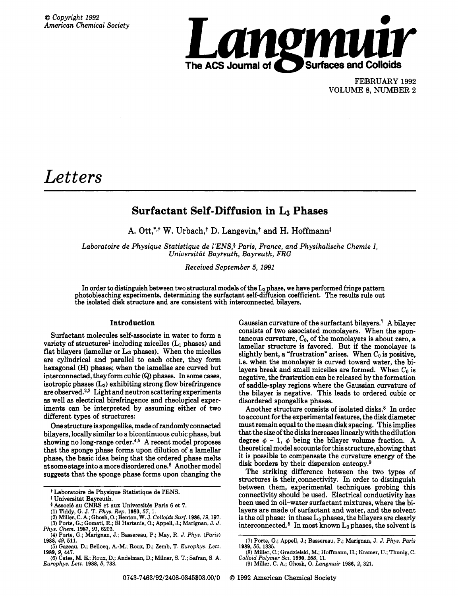

FEBRUARY 1992 VOLUME 8, NUMBER 2

# *Letters*

## **Surfactant Self-Diffusion in L3 Phases**

A. Ott,<sup>\*,t</sup> W. Urbach,<sup>†</sup> D. Langevin,<sup>†</sup> and H. Hoffmann<sup>†</sup>

Laboratoire de Physique Statistique de l'ENS,<sup>§</sup> Paris, France, and Physikalische Chemie I, *Universitat Bayreuth, Bayreuth, FRG* 

*Received September 5, 1991* 

In order to distinguish between two structural models of the  $L_3$  phase, we have performed fringe pattern photobleaching experiments, determining the surfactant self-diffusion coefficient. The results rule out the isolated disk structure and are consistent with interconnected bilayers.

### **Introduction**

Surfactant molecules self-associate in water to form a variety of structures<sup>1</sup> including micelles  $(L_1$  phases) and flat bilayers (lamellar or  $L\alpha$  phases). When the micelles are cylindrical and parallel to each other, they form hexagonal **(H)** phases; when the lamellae are curved but interconnected, they form cubic **(Q)** phases. In some cases, isotropic phases  $(L_3)$  exhibiting strong flow birefringence are observed. $2,3$  Light and neutron scattering experiments **as** well **as** electrical birefringence and rheological experiments can be interpreted by assuming either of two different types of structures:

One structure is spongelike, made of randomly connected bilayers, locally similar to a bicontinuous cubic phase, but showing no long-range order.<sup>4,5</sup> A recent model proposes that the sponge phase forms upon dilution of a lamellar phase, the basic idea being that the ordered phase melts at some stage into a more disordered one.6 Another model suggests that the sponge phase forms upon changing the Gaussian curvature of the surfactant bilayers.<sup>7</sup> A bilayer consists of two associated monolayers. When the spontaneous curvature,  $C_0$ , of the monolayers is about zero, a lamellar structure is favored. But if the monolayer is slightly bent, a "frustration" arises. When  $C_0$  is positive, i.e. when the monolayer is curved toward water, the bilayers break and small micelles are formed. When  $C_0$  is negative, the frustration can be released by the formation of saddle-splay regions where the Gaussian curvature of the bilayer is negative. This leads to ordered cubic or disordered spongelike phases.

Another structure consists of isolated disks.<sup>8</sup> In order to account for the experimental features, the disk diameter must remain equal to the mean disk spacing. This implies that the size of the disks increases linearly with the dilution degree  $\phi$  – 1,  $\phi$  being the bilayer volume fraction. A theoretical model accounts for this structure, showing that it is possible to compensate the curvature energy of the disk borders by their dispersion entropy.<sup>9</sup>

The striking difference between the two types of structures is their,connectivity. In order to distinguish between them, experimental techniques probing this connectivity should be used. Electrical conductivity has been used in oil-water surfactant mixtures, where the bilayers are made of surfactant and water, and the solvent is the oil phase: in these  $L_3$  phases, the bilayers are clearly interconnected. $5$  In most known  $L_3$  phases, the solvent is

t **Laboratoire de Physique Statistique de YENS.** 

<sup>&</sup>lt;sup>1</sup> Universität Bayreuth.

<sup>&</sup>lt;sup>4</sup> Associé au CNRS et aux Universités Paris 6 et 7.

**<sup>(1)</sup> Tiddy, G.** J. **T.** *Phys. Rep.* **1980,57, 1.**  *(2)* **Miller, C. A.; Ghosh, 0.; Benton, W.** J. *Colloids Surf.* **1986,19,197. (3) Porte, G.; Gomati, R.; El Hartanie,** *0.;* **Appell,** J.; **Marignan,** J. **J.** 

*Phys. Chem.* **1987,91,6203.** 

**<sup>(4)</sup> Porte, G.: Marianan. J.: Bassereau, P.: May. R.** *J. Phvs. (Paris)*  - **1988,** *49,* **511.** 

**<sup>(5)</sup> Gazeau. D.: Bellocq. A.-M.: Roux. D.: Zemb. T.** *Europhys. Lett.* **1989,** *9, 447.* 

**<sup>(6)</sup> Cates, M. E.; Roux,** D.; **Andelman, D.; Milner, S. T.; Safran, S. A.**  *Europhys. Lett.* **1988,5, 733.** 

**<sup>(7)</sup> Porte, G.; Appell, J.; Bassereau, P.; Marignan, J. J.** *Phys. Paris (8)* **Miller,** *C.;* **Gradzielski, M.; Hoffmann, H.; Kramer, U.; Thunig, C. 1989,50, 1335.** 

*Colloid Polymer Sci.* **1990,268, 11.** 

**<sup>(9)</sup> Miller, C. A.; Ghosh, 0.** *Langmuir* **1986, 2, 321.**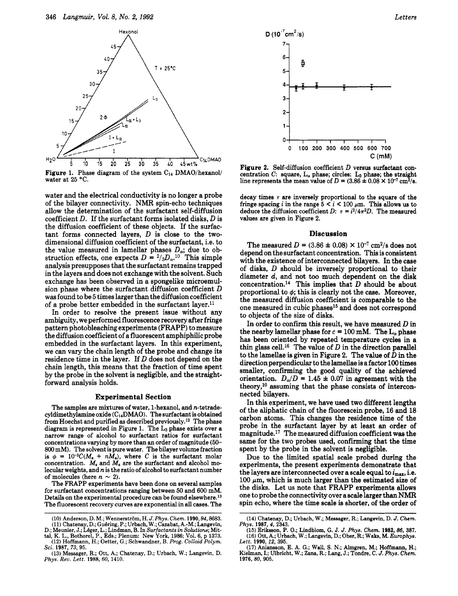

Figure 1. Phase diagram of the system C<sub>14</sub> DMAO/hexanol/ water at 25 °C.

water and the electrical conductivity is no longer a probe of the bilayer connectivity. NMR spin-echo techniques allow the determination of the surfactant self-diffusion coefficient  $D$ . If the surfactant forms isolated disks,  $D$  is the diffusion coefficient of these objects. If the surfactant forms connected layers,  $D$  is close to the twodimensional diffusion coefficient of the surfactant, i.e. to the value measured in lamellar phases  $D_{\alpha}$ ; due to obstruction effects, one expects  $D = \frac{2}{3}D_{\alpha}$ .<sup>10</sup> This simple analysis presupposes that the surfactant remains trapped in the layers and does not exchange with the solvent. Such exchange has been observed in a spongelike microemulsion phase where the surfactant diffusion coefficient D **was** found to be 5 times larger than the diffusion coefficient of a probe better embedded in the surfactant layer.<sup>11</sup>

In order to resolve the present issue without any ambiguity, we performed fluorescence recovery after fringe pattern photobleaching experiments (FRAPP) to measure the diffusion coefficient of a fluorescent amphiphilic probe embedded in the surfactant layers. In this experiment, we can vary the chain length of the probe and change its residence time in the layer. If D does not depend on the chain length, this means that the fraction of time spent by the probe in the solvent is negligible, and the straightforward analysis holds.

#### **Experimental Section**

The samples are mixtures of water, 1-hexanol, and n-tetradecyldimethylamine oxide  $(C_{14}DMAO)$ . The surfactant is obtained from Hoechst and purified as described previously.12 The phase diagram is represented in Figure 1. The **L3** phase exists over a narrow range of alcohol to surfactant ratios for surfactant concentrations varying by more than an order of magnitude **(50-**  800 mM). The solvent is pure water. The bilayer volume fraction is  $\phi = 10^{-3}C(M_s + nM_a)$ , where C is the surfactant molar concentration.  $M_s$  and  $M_a$  are the surfactant and alcohol molecular weights, and *n* is the ratio of alcohol to surfactant number of molecules (here  $n \sim 2$ ).

The FRAPP experiments have been done on several samples for surfactant concentrations ranging between **50** and 600 mM. Details on the experimental procedure can be found elsewhere.<sup>13</sup> The fluorescent recovery curves are exponential in **all** cases. The



Figure *2.* Self-diffusion coefficient *D* versus surfactant concentration C: square,  $L_{\alpha}$  phase; circles:  $L_3$  phase; the straight line represents the mean value of  $D = (3.86 \pm 0.08 \times 10^{-7} \text{ cm}^2/\text{s})$ .

decay times  $\tau$  are inversely proportional to the square of the fringe spacing *i* in the range  $5 < i < 100 \mu$ m. This allows us to deduce the diffusion coefficient *D:*  $\tau = i^2/4\pi^2 D$ . The measured values are given in Figure **2.** 

#### **Discussion**

The measured  $D = (3.86 \pm 0.08) \times 10^{-7} \text{ cm}^2/\text{s}$  does not depend on the surfactant concentration. This is consistent with the existence of interconnected bilayers. In the case of disks, D should be inversely proportional to their diameter *d,* and not too much dependent on the disk concentration.14 This implies that *D* should be about proportional to  $\phi$ ; this is clearly not the case. Moreover, the measured diffusion coefficient is comparable to the one measured in cubic phases<sup>15</sup> and does not correspond to objects of the size of disks.

In order to confirm this result, we have measured *D* in the nearby lamellar phase for  $c = 100$  mM. The  $L_{\alpha}$  phase has been oriented by repeated temperature cycles in a thin glass cell.<sup>16</sup> The value of  $D$  in the direction parallel to the lamellae is given in Figure **2.** The value of *D* in the direction perpendicular to the lamellae is a factor **100** times smaller, confirming the good quality of the achieved orientation.  $D_{\alpha}/D = 1.45 \pm 0.07$  in agreement with the theory,1° assuming that the phase consists of interconnected bilayers.

In this experiment, we have used two different lengths of the aliphatic chain of the fluorescein probe, 16 and 18 carbon atoms. This changes the residence time of the probe in the surfactant layer by at least an order of magnitude.17 The measured diffusion coefficient was the same for the two probes used, confirming that the time spent by the probe in the solvent is negligible.

Due to the limited spatial scale probed during the experiments, the present experiments demonstrate that the layers are interconnected over a scale equal to  $i_{\text{max}}$ , i.e. 100  $\mu$ m, which is much larger than the estimated size of the disks. Let us note that FRAPP experiments allows one to probe the connectivity over ascale larger than **NMR**  spin echo, where the time scale is shorter, of the order of

**<sup>(10)</sup>** Anderson, **D.** M.; WennerstrBm, H. J. Phys. *Chem.* **1990,94,8683. (11)** Chatenay, **D.;** GuBring, P.; Urbach, W.; Cazabat, A.-M.; Langevin, D.; Meunier, J.; Léger, L.; Lindman, B. In Surfactants in Solutions; Mittal, K. L., Bothorel, P., Eds.; Plenum: New York, 1986; Vol. 6, p 1373.<br>(12) Hoffmann, H.; Oetter, G.; Schwandner, B. Prog. Colloid Polym.

*Sci.* **1987, 73, 95.** 

**<sup>(13)</sup>** Messager, **R.;** Ott, A.; Chatenay, D.; Urbach, W.; Langevin, D. *Phys. Rev. Lett.* **1988, 60, 1410.** 

**<sup>(14)</sup>** Chatenay, **D.;** Urbach, W.; Messager, R.; Langevin, D. J. *Chem. Phys.* **1987,** *4,* **2343.** 

**<sup>(15)</sup>** Eriksson, P. 0.; Lindblom, G. J. J. *Phys. Chem.* **1982,** *86,* **387. (16)** Ott, **A.;** Urbach, W.; Langevin, D.; Ober, R.; **Waks,** M. Europhys. Lett. **1990,** *12,* **395.** 

<sup>(17)</sup>Aniansson, E. A. G.; **Wall,** S. N.; Almgren, M.; Hoffmann, H.; Kielman, I.; Ulbricht, W.; Zana, R.; **Lang,** J.; Tondre, C. J. *Phys. Chem.*  **1976,** *80,* **905.**